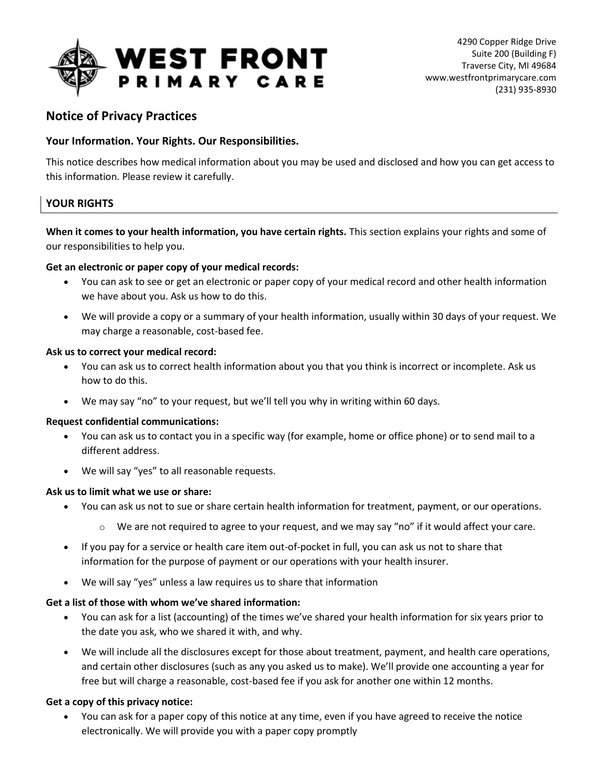

# **Notice of Privacy Practices**

## **Your Information. Your Rights. Our Responsibilities.**

This notice describes how medical information about you may be used and disclosed and how you can get access to this information. Please review it carefully.

## **YOUR RIGHTS**

**When it comes to your health information, you have certain rights.** This section explains your rights and some of our responsibilities to help you.

### **Get an electronic or paper copy of your medical records:**

- You can ask to see or get an electronic or paper copy of your medical record and other health information we have about you. Ask us how to do this.
- We will provide a copy or a summary of your health information, usually within 30 days of your request. We may charge a reasonable, cost-based fee.

### **Ask us to correct your medical record:**

- You can ask us to correct health information about you that you think is incorrect or incomplete. Ask us how to do this.
- We may say "no" to your request, but we'll tell you why in writing within 60 days.

### **Request confidential communications:**

- You can ask us to contact you in a specific way (for example, home or office phone) or to send mail to a different address.
- We will say "yes" to all reasonable requests.

### **Ask us to limit what we use or share:**

- You can ask us not to sue or share certain health information for treatment, payment, or our operations.
	- $\circ$  We are not required to agree to your request, and we may say "no" if it would affect your care.
- If you pay for a service or health care item out-of-pocket in full, you can ask us not to share that information for the purpose of payment or our operations with your health insurer.
- We will say "yes" unless a law requires us to share that information

### **Get a list of those with whom we've shared information:**

- You can ask for a list (accounting) of the times we've shared your health information for six years prior to the date you ask, who we shared it with, and why.
- We will include all the disclosures except for those about treatment, payment, and health care operations, and certain other disclosures (such as any you asked us to make). We'll provide one accounting a year for free but will charge a reasonable, cost-based fee if you ask for another one within 12 months.

### **Get a copy of this privacy notice:**

• You can ask for a paper copy of this notice at any time, even if you have agreed to receive the notice electronically. We will provide you with a paper copy promptly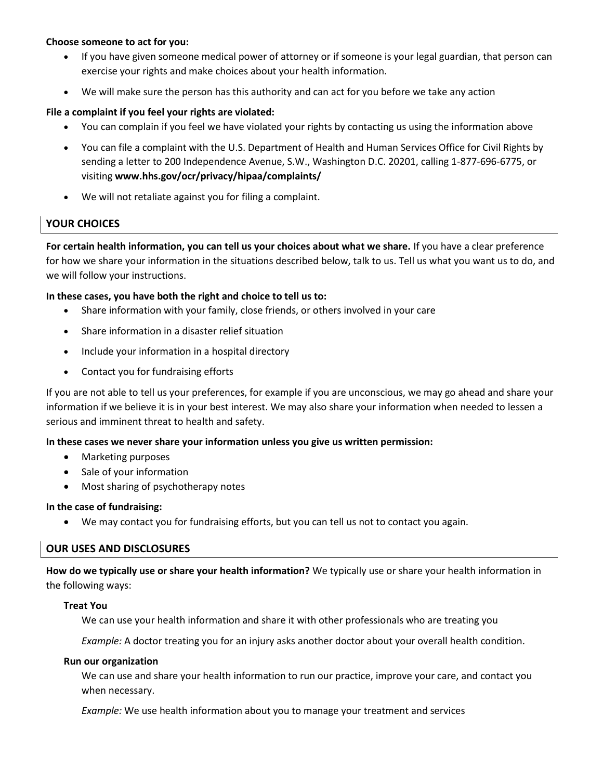## **Choose someone to act for you:**

- If you have given someone medical power of attorney or if someone is your legal guardian, that person can exercise your rights and make choices about your health information.
- We will make sure the person has this authority and can act for you before we take any action

## **File a complaint if you feel your rights are violated:**

- You can complain if you feel we have violated your rights by contacting us using the information above
- You can file a complaint with the U.S. Department of Health and Human Services Office for Civil Rights by sending a letter to 200 Independence Avenue, S.W., Washington D.C. 20201, calling 1-877-696-6775, or visiting **www.hhs.gov/ocr/privacy/hipaa/complaints/**
- We will not retaliate against you for filing a complaint.

## **YOUR CHOICES**

**For certain health information, you can tell us your choices about what we share.** If you have a clear preference for how we share your information in the situations described below, talk to us. Tell us what you want us to do, and we will follow your instructions.

## **In these cases, you have both the right and choice to tell us to:**

- Share information with your family, close friends, or others involved in your care
- Share information in a disaster relief situation
- Include your information in a hospital directory
- Contact you for fundraising efforts

If you are not able to tell us your preferences, for example if you are unconscious, we may go ahead and share your information if we believe it is in your best interest. We may also share your information when needed to lessen a serious and imminent threat to health and safety.

### **In these cases we never share your information unless you give us written permission:**

- Marketing purposes
- Sale of your information
- Most sharing of psychotherapy notes

### **In the case of fundraising:**

• We may contact you for fundraising efforts, but you can tell us not to contact you again.

## **OUR USES AND DISCLOSURES**

**How do we typically use or share your health information?** We typically use or share your health information in the following ways:

### **Treat You**

We can use your health information and share it with other professionals who are treating you

*Example:* A doctor treating you for an injury asks another doctor about your overall health condition.

### **Run our organization**

We can use and share your health information to run our practice, improve your care, and contact you when necessary.

*Example:* We use health information about you to manage your treatment and services